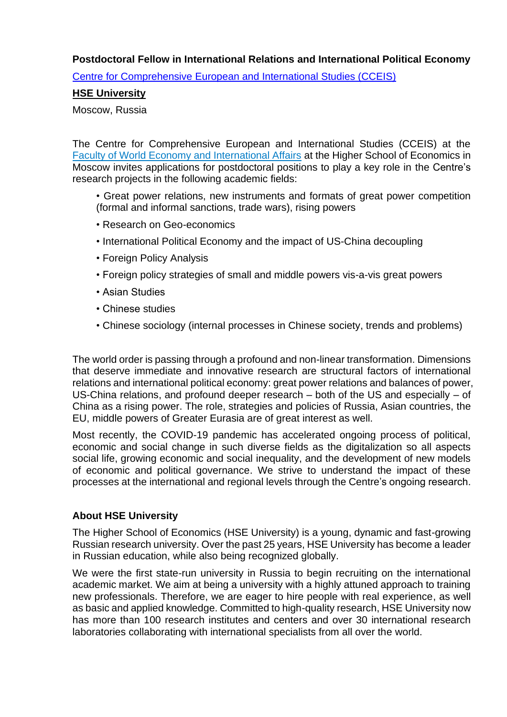## **Postdoctoral Fellow in International Relations and International Political Economy**

Centre [for Comprehensive European and International Studies \(CCEIS\)](https://cceis.hse.ru/en/ataglance/)

# **[HSE University](http://www.hse.ru/en/info/)**

#### Moscow, Russia

The Centre for Comprehensive European and International Studies (CCEIS) at th[e](https://we.hse.ru/en/) [Faculty of World Economy and International Affairs](https://we.hse.ru/en/) at the Higher School of Economics in Moscow invites applications for postdoctoral positions to play a key role in the Centre's research projects in the following academic fields:

• Great power relations, new instruments and formats of great power competition (formal and informal sanctions, trade wars), rising powers

- Research on Geo-economics
- International Political Economy and the impact of US-China decoupling
- Foreign Policy Analysis
- Foreign policy strategies of small and middle powers vis-a-vis great powers
- Asian Studies
- Chinese studies
- Chinese sociology (internal processes in Chinese society, trends and problems)

The world order is passing through a profound and non-linear transformation. Dimensions that deserve immediate and innovative research are structural factors of international relations and international political economy: great power relations and balances of power, US-China relations, and profound deeper research – both of the US and especially – of China as a rising power. The role, strategies and policies of Russia, Asian countries, the EU, middle powers of Greater Eurasia are of great interest as well.

Most recently, the COVID-19 pandemic has accelerated ongoing process of political, economic and social change in such diverse fields as the digitalization so all aspects social life, growing economic and social inequality, and the development of new models of economic and political governance. We strive to understand the impact of these processes at the international and regional levels through the Centre's ongoing research.

### **About HSE University**

The Higher School of Economics (HSE University) is a young, dynamic and fast-growing Russian research university. Over the past 25 years, HSE University has become a leader in Russian education, while also being recognized globally.

We were the first state-run university in Russia to begin recruiting on the international academic market. We aim at being a university with a highly attuned approach to training new professionals. Therefore, we are eager to hire people with real experience, as well as basic and applied knowledge. Committed to high-quality research, HSE University now has more than 100 research institutes and centers and over 30 international research laboratories collaborating with international specialists from all over the world.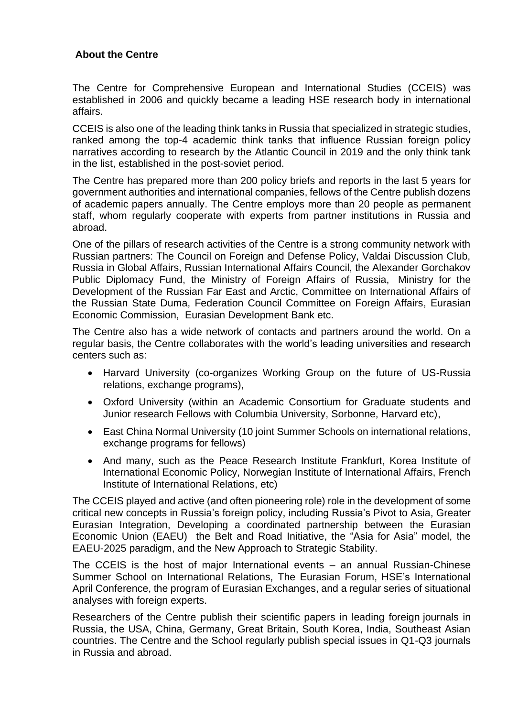## **About the Centre**

The Centre for Comprehensive European and International Studies (CCEIS) was established in 2006 and quickly became a leading HSE research body in international affairs.

CCEIS is also one of the leading think tanks in Russia that specialized in strategic studies, ranked among the top-4 academic think tanks that influence Russian foreign policy narratives according to research by the Atlantic Council in 2019 and the only think tank in the list, established in the post-soviet period.

The Centre has prepared more than 200 policy briefs and reports in the last 5 years for government authorities and international companies, fellows of the Centre publish dozens of academic papers annually. The Centre employs more than 20 people as permanent staff, whom regularly cooperate with experts from partner institutions in Russia and abroad.

One of the pillars of research activities of the Centre is a strong community network with Russian partners: The Council on Foreign and Defense Policy, Valdai Discussion Club, Russia in Global Affairs, Russian International Affairs Council, the Alexander Gorchakov Public Diplomacy Fund, the Ministry of Foreign Affairs of Russia, Ministry for the Development of the Russian Far East and Arctic, Committee on International Affairs of the Russian State Duma, [Federation Council Committee on Foreign Affairs,](http://council.gov.ru/en/structure/committees/1/) Eurasian Economic Commission, Eurasian Development Bank etc.

The Centre also has a wide network of contacts and partners around the world. On a regular basis, the Centre collaborates with the world's leading universities and research centers such as:

- Harvard University (co-organizes Working Group on the future of US-Russia relations, exchange programs),
- Oxford University (within an Academic Consortium for Graduate students and Junior research Fellows with Columbia University, Sorbonne, Harvard etc),
- East China Normal University (10 joint Summer Schools on international relations, exchange programs for fellows)
- And many, such as the Peace Research Institute Frankfurt, Korea Institute of International Economic Policy, Norwegian Institute of International Affairs, French Institute of International Relations, etc)

The CCEIS played and active (and often pioneering role) role in the development of some critical new concepts in Russia's foreign policy, including Russia's Pivot to Asia, Greater Eurasian Integration, Developing a coordinated partnership between the Eurasian Economic Union (EAEU) the Belt and Road Initiative, the "Asia for Asia" model, the EAEU-2025 paradigm, and the New Approach to Strategic Stability.

The CCEIS is the host of major International events – an annual Russian-Chinese Summer School on International Relations, The Eurasian Forum, HSE's International April Conference, the program of Eurasian Exchanges, and a regular series of situational analyses with foreign experts.

Researchers of the Centre publish their scientific papers in leading foreign journals in Russia, the USA, China, Germany, Great Britain, South Korea, India, Southeast Asian countries. The Centre and the School regularly publish special issues in Q1-Q3 journals in Russia and abroad.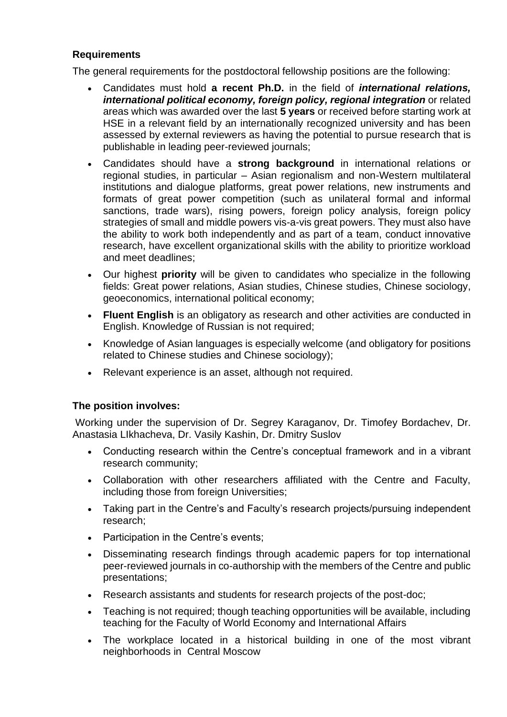## **Requirements**

The general requirements for the postdoctoral fellowship positions are the following:

- Candidates must hold **a recent Ph.D.** in the field of *international relations, international political economy, foreign policy, regional integration* or related areas which was awarded over the last **5 years** or received before starting work at HSE in a relevant field by an internationally recognized university and has been assessed by external reviewers as having the potential to pursue research that is publishable in leading peer-reviewed journals;
- Candidates should have a **strong background** in international relations or regional studies, in particular – Asian regionalism and non-Western multilateral institutions and dialogue platforms, great power relations, new instruments and formats of great power competition (such as unilateral formal and informal sanctions, trade wars), rising powers, foreign policy analysis, foreign policy strategies of small and middle powers vis-a-vis great powers. They must also have the ability to work both independently and as part of a team, conduct innovative research, have excellent organizational skills with the ability to prioritize workload and meet deadlines;
- Our highest **priority** will be given to candidates who specialize in the following fields: Great power relations, Asian studies, Chinese studies, Chinese sociology, geoeconomics, international political economy;
- **Fluent English** is an obligatory as research and other activities are conducted in English. Knowledge of Russian is not required;
- Knowledge of Asian languages is especially welcome (and obligatory for positions related to Chinese studies and Chinese sociology);
- Relevant experience is an asset, although not required.

### **The position involves:**

Working under the supervision of [Dr.](https://www.kent.ac.uk/politics/staff/canterbury/sakwa.html) Segrey Karaganov, Dr. Timofey Bordachev, Dr. Anastasia LIkhacheva, Dr. Vasily Kashin, Dr. Dmitry Suslov

- Сonducting research within the Centre's conceptual framework and in a vibrant research community;
- Сollaboration with other researchers affiliated with the Centre and Faculty, including those from foreign Universities;
- Taking part in the Centre's and Faculty's research projects/pursuing independent research;
- Participation in the Centre's events;
- Disseminating research findings through academic papers for top international peer-reviewed journals in co-authorship with the members of the Centre and public presentations;
- Research assistants and students for research projects of the post-doc;
- Teaching is not required; though teaching opportunities will be available, including teaching for the Faculty of World Economy and International Affairs
- The workplace located in a historical building in one of the most vibrant neighborhoods in Central Moscow